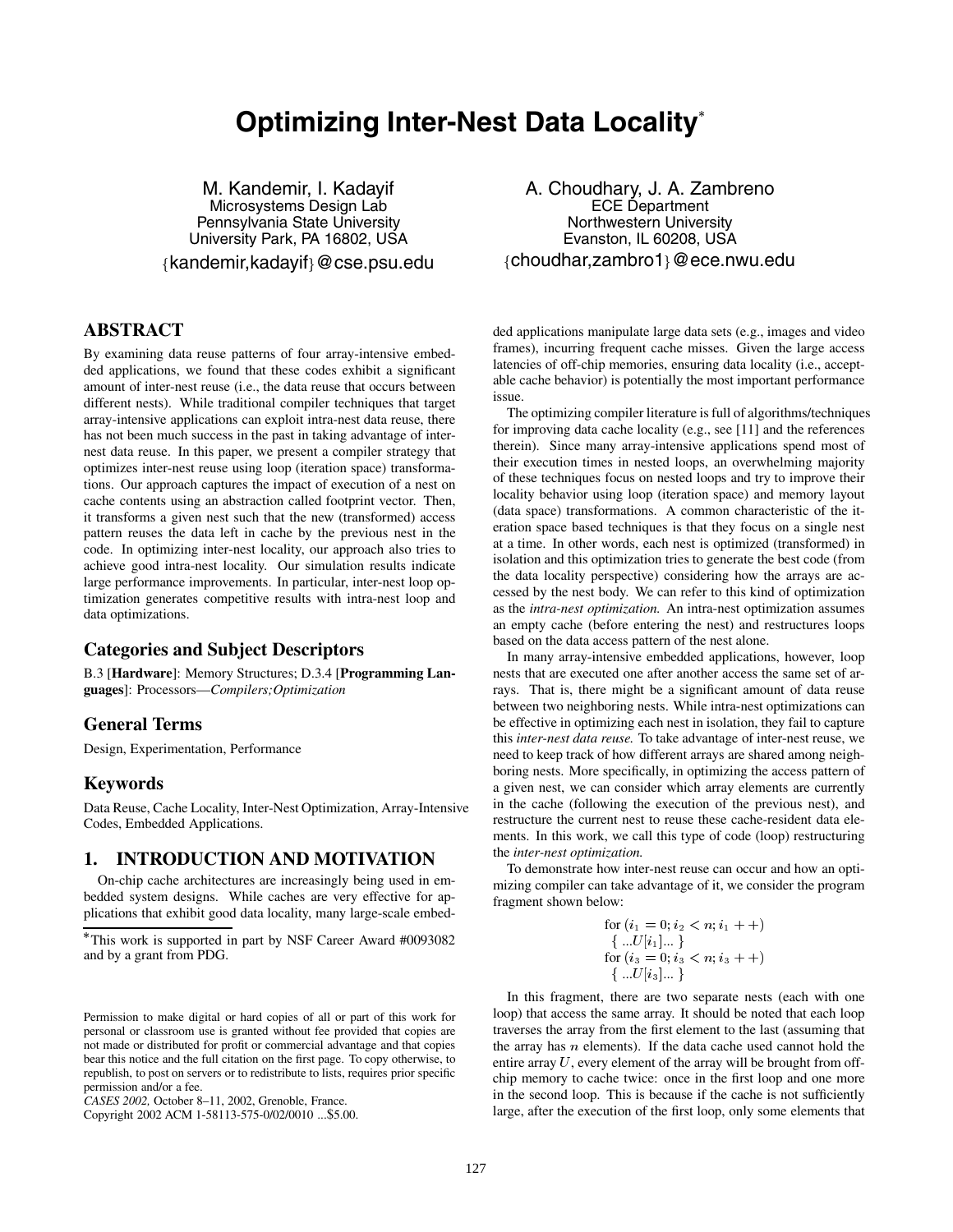# **Optimizing Inter-Nest Data Locality**

M. Kandemir, I. Kadayif Microsystems Design Lab Pennsylvania State University University Park, PA 16802, USA <sup>f</sup>kandemir,kadayifg@cse.psu.edu

# **ABSTRACT**

By examining data reuse patterns of four array-intensive embedded applications, we found that these codes exhibit a significant amount of inter-nest reuse (i.e., the data reuse that occurs between different nests). While traditional compiler techniques that target array-intensive applications can exploit intra-nest data reuse, there has not been much success in the past in taking advantage of internest data reuse. In this paper, we present a compiler strategy that optimizes inter-nest reuse using loop (iteration space) transformations. Our approach captures the impact of execution of a nest on cache contents using an abstraction called footprint vector. Then, it transforms a given nest such that the new (transformed) access pattern reuses the data left in cache by the previous nest in the code. In optimizing inter-nest locality, our approach also tries to achieve good intra-nest locality. Our simulation results indicate large performance improvements. In particular, inter-nest loop optimization generates competitive results with intra-nest loop and data optimizations.

# **Categories and Subject Descriptors**

B.3 [**Hardware**]: Memory Structures; D.3.4 [**Programming Languages**]: Processors—*Compilers;Optimization*

#### **General Terms**

Design, Experimentation, Performance

#### **Keywords**

Data Reuse, Cache Locality, Inter-Nest Optimization, Array-Intensive Codes, Embedded Applications.

#### **1. INTRODUCTION AND MOTIVATION**

On-chip cache architectures are increasingly being used in embedded system designs. While caches are very effective for applications that exhibit good data locality, many large-scale embed-

Copyright 2002 ACM 1-58113-575-0/02/0010 ...\$5.00.

A. Choudhary, J. A. Zambreno ECE Department Northwestern University Evanston, IL 60208, USA {choudhar,zambro1}@ece.nwu.edu

ded applications manipulate large data sets (e.g., images and video frames), incurring frequent cache misses. Given the large access latencies of off-chip memories, ensuring data locality (i.e., acceptable cache behavior) is potentially the most important performance issue.

The optimizing compiler literature is full of algorithms/techniques for improving data cache locality (e.g., see [11] and the references therein). Since many array-intensive applications spend most of their execution times in nested loops, an overwhelming majority of these techniques focus on nested loops and try to improve their locality behavior using loop (iteration space) and memory layout (data space) transformations. A common characteristic of the iteration space based techniques is that they focus on a single nest at a time. In other words, each nest is optimized (transformed) in isolation and this optimization tries to generate the best code (from the data locality perspective) considering how the arrays are accessed by the nest body. We can refer to this kind of optimization as the *intra-nest optimization.* An intra-nest optimization assumes an empty cache (before entering the nest) and restructures loops based on the data access pattern of the nest alone.

In many array-intensive embedded applications, however, loop nests that are executed one after another access the same set of arrays. That is, there might be a significant amount of data reuse between two neighboring nests. While intra-nest optimizations can be effective in optimizing each nest in isolation, they fail to capture this *inter-nest data reuse.* To take advantage of inter-nest reuse, we need to keep track of how different arrays are shared among neighboring nests. More specifically, in optimizing the access pattern of a given nest, we can consider which array elements are currently in the cache (following the execution of the previous nest), and restructure the current nest to reuse these cache-resident data elements. In this work, we call this type of code (loop) restructuring the *inter-nest optimization.*

To demonstrate how inter-nest reuse can occur and how an optimizing compiler can take advantage of it, we consider the program fragment shown below:

> for  $(i_1 = 0; i_2 < n; i_1 + +)$  $\{ ...U[i_1]... \}$ for  $(i_3 = 0; i_3 < n; i_3 + +)$  $\{ ...U[i_3] ... \}$

In this fragment, there are two separate nests (each with one loop) that access the same array. It should be noted that each loop traverses the array from the first element to the last (assuming that the array has  $n$  elements). If the data cache used cannot hold the entire array  $U$ , every element of the array will be brought from offchip memory to cache twice: once in the first loop and one more in the second loop. This is because if the cache is not sufficiently large, after the execution of the first loop, only some elements that

This work is supported in part by NSF Career Award #0093082 and by a grant from PDG.

Permission to make digital or hard copies of all or part of this work for personal or classroom use is granted without fee provided that copies are not made or distributed for profit or commercial advantage and that copies bear this notice and the full citation on the first page. To copy otherwise, to republish, to post on servers or to redistribute to lists, requires prior specific permission and/or a fee.

*CASES 2002,* October 8–11, 2002, Grenoble, France.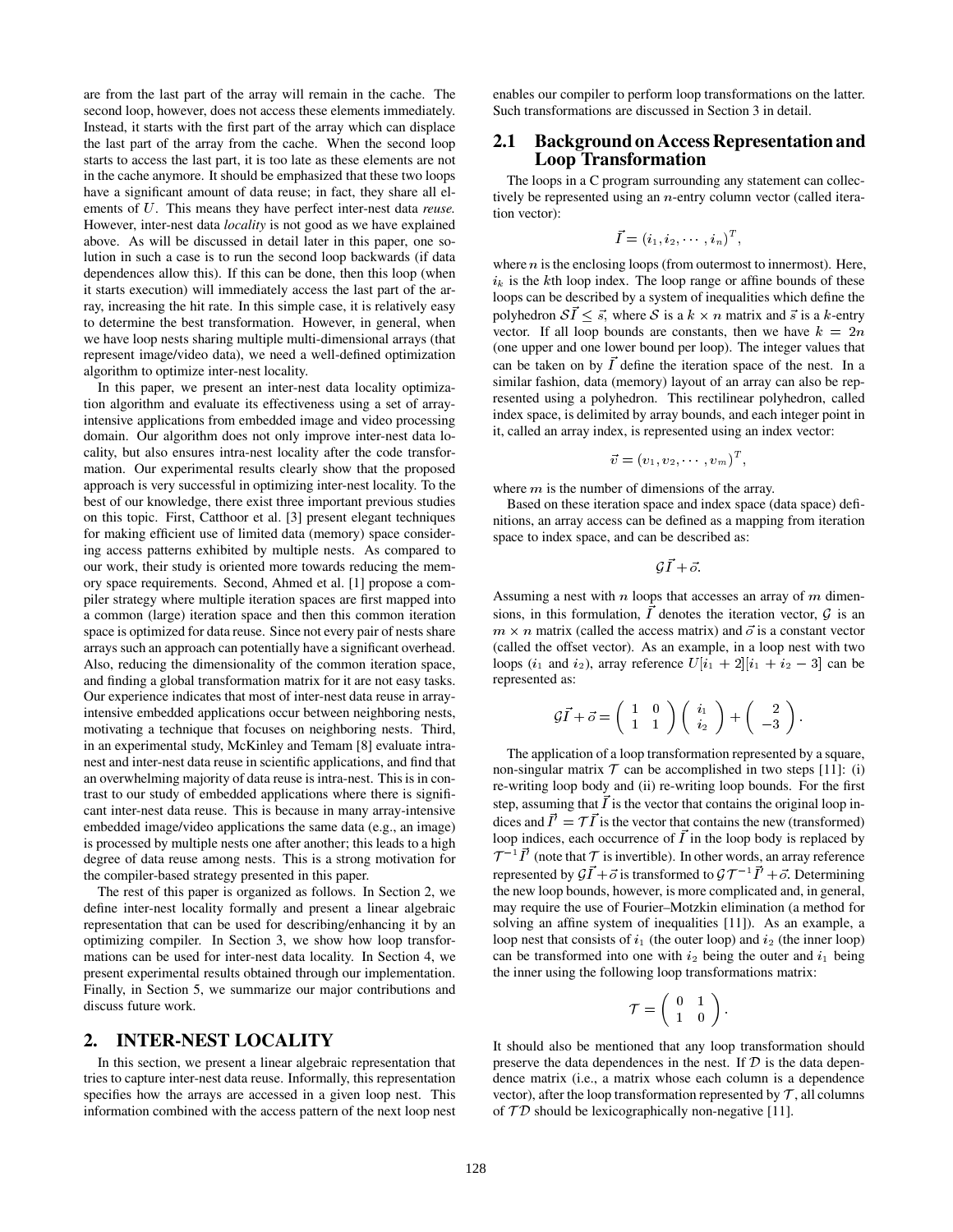are from the last part of the array will remain in the cache. The second loop, however, does not access these elements immediately. Instead, it starts with the first part of the array which can displace the last part of the array from the cache. When the second loop starts to access the last part, it is too late as these elements are not in the cache anymore. It should be emphasized that these two loops have a significant amount of data reuse; in fact, they share all elements of <sup>U</sup>. This means they have perfect inter-nest data *reuse.* However, inter-nest data *locality* is not good as we have explained above. As will be discussed in detail later in this paper, one solution in such a case is to run the second loop backwards (if data dependences allow this). If this can be done, then this loop (when it starts execution) will immediately access the last part of the array, increasing the hit rate. In this simple case, it is relatively easy to determine the best transformation. However, in general, when we have loop nests sharing multiple multi-dimensional arrays (that represent image/video data), we need a well-defined optimization algorithm to optimize inter-nest locality.

In this paper, we present an inter-nest data locality optimization algorithm and evaluate its effectiveness using a set of arrayintensive applications from embedded image and video processing domain. Our algorithm does not only improve inter-nest data locality, but also ensures intra-nest locality after the code transformation. Our experimental results clearly show that the proposed approach is very successful in optimizing inter-nest locality. To the best of our knowledge, there exist three important previous studies on this topic. First, Catthoor et al. [3] present elegant techniques for making efficient use of limited data (memory) space considering access patterns exhibited by multiple nests. As compared to our work, their study is oriented more towards reducing the memory space requirements. Second, Ahmed et al. [1] propose a compiler strategy where multiple iteration spaces are first mapped into a common (large) iteration space and then this common iteration space is optimized for data reuse. Since not every pair of nests share arrays such an approach can potentially have a significant overhead. Also, reducing the dimensionality of the common iteration space, and finding a global transformation matrix for it are not easy tasks. Our experience indicates that most of inter-nest data reuse in arrayintensive embedded applications occur between neighboring nests, motivating a technique that focuses on neighboring nests. Third, in an experimental study, McKinley and Temam [8] evaluate intranest and inter-nest data reuse in scientific applications, and find that an overwhelming majority of data reuse is intra-nest. This is in contrast to our study of embedded applications where there is significant inter-nest data reuse. This is because in many array-intensive embedded image/video applications the same data (e.g., an image) is processed by multiple nests one after another; this leads to a high degree of data reuse among nests. This is a strong motivation for the compiler-based strategy presented in this paper.

The rest of this paper is organized as follows. In Section 2, we define inter-nest locality formally and present a linear algebraic representation that can be used for describing/enhancing it by an optimizing compiler. In Section 3, we show how loop transformations can be used for inter-nest data locality. In Section 4, we present experimental results obtained through our implementation. Finally, in Section 5, we summarize our major contributions and discuss future work.

#### **2. INTER-NEST LOCALITY**

In this section, we present a linear algebraic representation that tries to capture inter-nest data reuse. Informally, this representation specifies how the arrays are accessed in a given loop nest. This information combined with the access pattern of the next loop nest

enables our compiler to perform loop transformations on the latter. Such transformations are discussed in Section 3 in detail.

# **2.1 Background on Access Representation and Loop Transformation**

The loops in a C program surrounding any statement can collectively be represented using an <sup>n</sup>-entry column vector (called iteration vector):

$$
\vec{I}=\left(i_1,i_2,\cdots,i_n\right)^T,
$$

where  $n$  is the enclosing loops (from outermost to innermost). Here,  $i_k$  is the kth loop index. The loop range or affine bounds of these loops can be described by a system of inequalities which define the polyhedron  $\mathcal{S} I \leq \vec{s}$ , where  $\mathcal{S}$  is a  $k \times n$  matrix and  $\vec{s}$  is a k-entry vector. If all loop bounds are constants, then we have  $k = 2n$ (one upper and one lower bound per loop). The integer values that can be taken on by  $\vec{I}$  define the iteration space of the nest. In a similar fashion, data (memory) layout of an array can also be represented using a polyhedron. This rectilinear polyhedron, called index space, is delimited by array bounds, and each integer point in it, called an array index, is represented using an index vector:

$$
\vec{v}=(v_1,v_2,\cdots,v_m)^T,
$$

where  $m$  is the number of dimensions of the array.

Based on these iteration space and index space (data space) definitions, an array access can be defined as a mapping from iteration space to index space, and can be described as:

> $G\vec{I}+\vec{o}$ . of the contract of the contract of the contract of the contract of the contract of the contract of the contract of the contract of the contract of the contract of the contract of the contract of the contract of the contrac

Assuming a nest with  $n$  loops that accesses an array of  $m$  dimensions, in this formulation,  $\vec{I}$  denotes the iteration vector,  $\mathcal{G}$  is an  $m \times n$  matrix (called the access matrix) and  $\vec{\sigma}$  is a constant vector (called the offset vector). As an example, in a loop nest with two loops (i<sub>1</sub> and i<sub>2</sub>), array reference  $U[i_1 + 2][i_1 + i_2 - 3]$  can be represented as:

$$
\mathcal{G}\vec{I}+\vec{o}=\left(\begin{array}{cc} 1 & 0 \\ 1 & 1 \end{array}\right)\left(\begin{array}{c} i_1 \\ i_2 \end{array}\right)+\left(\begin{array}{c} 2 \\ -3 \end{array}\right).
$$

The application of a loop transformation represented by a square, non-singular matrix  $T$  can be accomplished in two steps [11]: (i) re-writing loop body and (ii) re-writing loop bounds. For the first step, assuming that  $\vec{I}$  is the vector that contains the original loop indices and  $I' = \mathcal{T} I$  is the vector that contains the new (transformed) loop indices, each occurrence of  $\vec{I}$  in the loop body is replaced by  $\mathcal{T}^{-1}I'$  (note that  $\mathcal T$  is invertible). In other words, an array reference represented by  $\mathcal{G}\vec{I} + \vec{o}$  is transformed to  $\mathcal{G}\mathcal{T}^{-1}\vec{I'} + \vec{o}$ . Determining the new loop bounds, however, is more complicated and, in general, may require the use of Fourier–Motzkin elimination (a method for solving an affine system of inequalities [11]). As an example, a loop nest that consists of  $i_1$  (the outer loop) and  $i_2$  (the inner loop) can be transformed into one with  $i_2$  being the outer and  $i_1$  being the inner using the following loop transformations matrix:

$$
\mathcal{T}=\left(\begin{array}{cc} 0 & 1 \\ 1 & 0 \end{array}\right).
$$

It should also be mentioned that any loop transformation should preserve the data dependences in the nest. If  $D$  is the data dependence matrix (i.e., a matrix whose each column is a dependence vector), after the loop transformation represented by  $T$ , all columns of  $TD$  should be lexicographically non-negative [11].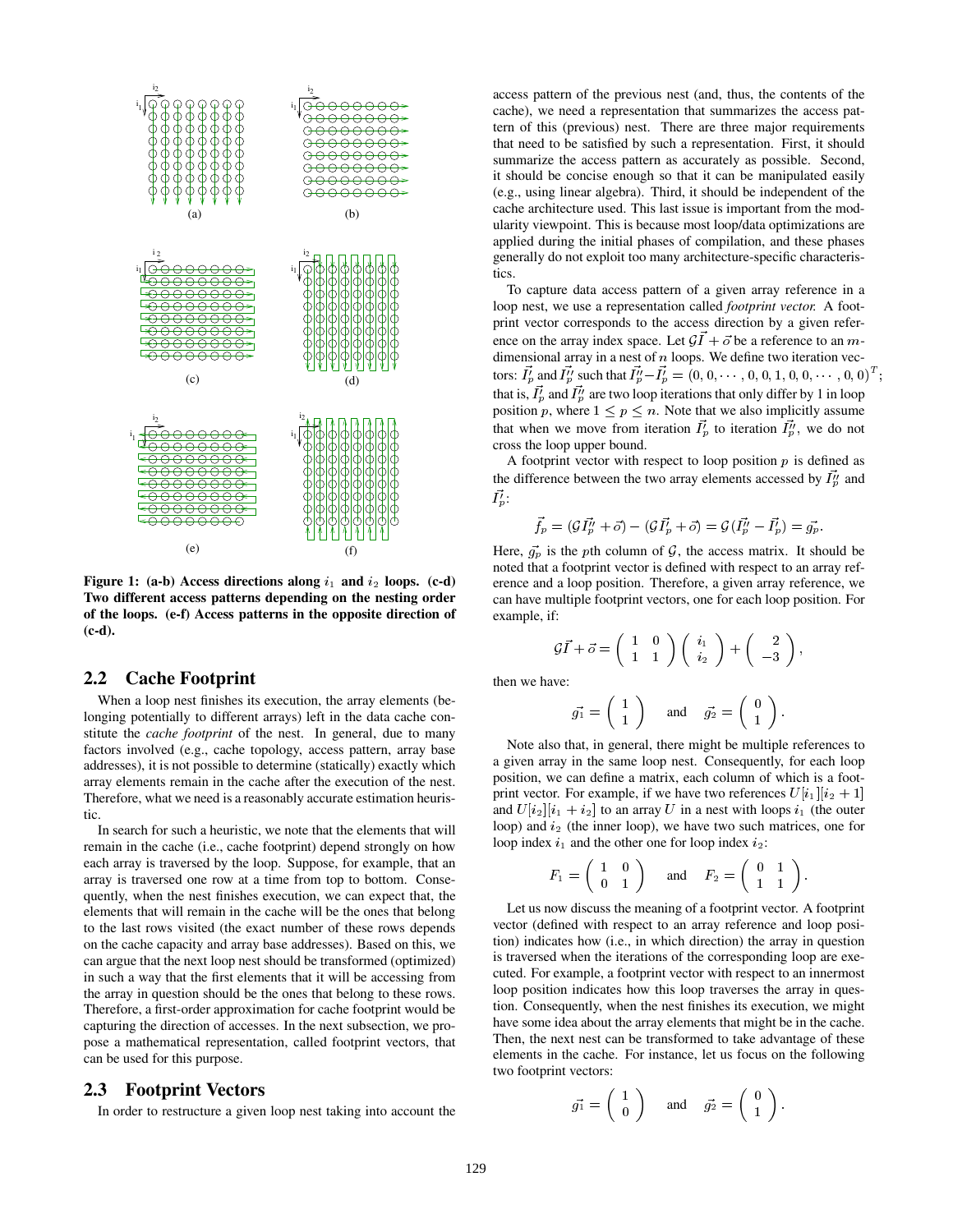

**Figure 1:** (a-b) Access directions along  $i_1$  and  $i_2$  loops. (c-d) **Two different access patterns depending on the nesting order of the loops. (e-f) Access patterns in the opposite direction of (c-d).**

#### **2.2 Cache Footprint**

When a loop nest finishes its execution, the array elements (belonging potentially to different arrays) left in the data cache constitute the *cache footprint* of the nest. In general, due to many factors involved (e.g., cache topology, access pattern, array base addresses), it is not possible to determine (statically) exactly which array elements remain in the cache after the execution of the nest. Therefore, what we need is a reasonably accurate estimation heuristic.

In search for such a heuristic, we note that the elements that will remain in the cache (i.e., cache footprint) depend strongly on how each array is traversed by the loop. Suppose, for example, that an array is traversed one row at a time from top to bottom. Consequently, when the nest finishes execution, we can expect that, the elements that will remain in the cache will be the ones that belong to the last rows visited (the exact number of these rows depends on the cache capacity and array base addresses). Based on this, we can argue that the next loop nest should be transformed (optimized) in such a way that the first elements that it will be accessing from the array in question should be the ones that belong to these rows. Therefore, a first-order approximation for cache footprint would be capturing the direction of accesses. In the next subsection, we propose a mathematical representation, called footprint vectors, that can be used for this purpose.

# **2.3 Footprint Vectors**

In order to restructure a given loop nest taking into account the

access pattern of the previous nest (and, thus, the contents of the cache), we need a representation that summarizes the access pattern of this (previous) nest. There are three major requirements that need to be satisfied by such a representation. First, it should summarize the access pattern as accurately as possible. Second, it should be concise enough so that it can be manipulated easily (e.g., using linear algebra). Third, it should be independent of the cache architecture used. This last issue is important from the modularity viewpoint. This is because most loop/data optimizations are applied during the initial phases of compilation, and these phases generally do not exploit too many architecture-specific characteristics.

To capture data access pattern of a given array reference in a loop nest, we use a representation called *footprint vector.* A footprint vector corresponds to the access direction by a given reference on the array index space. Let  $\mathcal{G}I + \vec{o}$  be a reference to an mdimensional array in a nest of  $n$  loops. We define two iteration vectors:  $I_p'$  and  $I_p''$  such that  $I_p'' - I_p' = (0, 0, \dots, 0, 0, 1, 0, 0, \dots, 0, 0)^T$ ; that is,  $I_p'$  and  $I_p''$  are two loop iterations that only differ by 1 in loop position p, where  $1 \leq p \leq n$ . Note that we also implicitly assume that when we move from iteration  $I_p'$  to iteration  $I_p''$ , we do not cross the loop upper bound.

**The Community of the Community** 

A footprint vector with respect to loop position  $p$  is defined as the difference between the two array elements accessed by  $\vec{I}_{p}^{ij}$  and  $\vec{I}_p$ :

$$
\vec{f_p}=(\mathcal{G}\vec{I_p''}+\vec{o})-(\mathcal{G}\vec{I_p'}+\vec{o})=\mathcal{G}(\vec{I_p''}-\vec{I_p'})=\vec{g_p}.
$$

Here,  $\vec{g}_p$  is the pth column of  $\mathcal{G}$ , the access matrix. It should be noted that a footprint vector is defined with respect to an array reference and a loop position. Therefore, a given array reference, we can have multiple footprint vectors, one for each loop position. For example, if:

$$
\mathcal{G}\vec{I}+\vec{o}=\left(\begin{array}{cc} 1 & 0 \\ 1 & 1 \end{array}\right)\left(\begin{array}{c} i_1 \\ i_2 \end{array}\right)+\left(\begin{array}{c} 2 \\ -3 \end{array}\right),
$$

then we have:

$$
\vec{g_1} = \left(\begin{array}{c} 1 \\ 1 \end{array}\right) \quad \text{and} \quad \vec{g_2} = \left(\begin{array}{c} 0 \\ 1 \end{array}\right).
$$

Note also that, in general, there might be multiple references to a given array in the same loop nest. Consequently, for each loop position, we can define a matrix, each column of which is a footprint vector. For example, if we have two references  $U[i_1][i_2+1]$ the contract of the contract of the contract of the contract of the contract of the contract of and  $U[i_2][i_1 + i_2]$  to an array U in a nest with loops  $i_1$  (the outer loop) and  $i_2$  (the inner loop), we have two such matrices, one for loop index  $i_1$  and the other one for loop index  $i_2$ :

$$
F_1 = \left(\begin{array}{cc} 1 & 0 \\ 0 & 1 \end{array}\right) \quad \text{and} \quad F_2 = \left(\begin{array}{cc} 0 & 1 \\ 1 & 1 \end{array}\right).
$$

Let us now discuss the meaning of a footprint vector. A footprint vector (defined with respect to an array reference and loop position) indicates how (i.e., in which direction) the array in question is traversed when the iterations of the corresponding loop are executed. For example, a footprint vector with respect to an innermost loop position indicates how this loop traverses the array in question. Consequently, when the nest finishes its execution, we might have some idea about the array elements that might be in the cache. Then, the next nest can be transformed to take advantage of these elements in the cache. For instance, let us focus on the following two footprint vectors:

$$
\vec{g_1} = \left(\begin{array}{c} 1 \\ 0 \end{array}\right) \quad \text{and} \quad \vec{g_2} = \left(\begin{array}{c} 0 \\ 1 \end{array}\right).
$$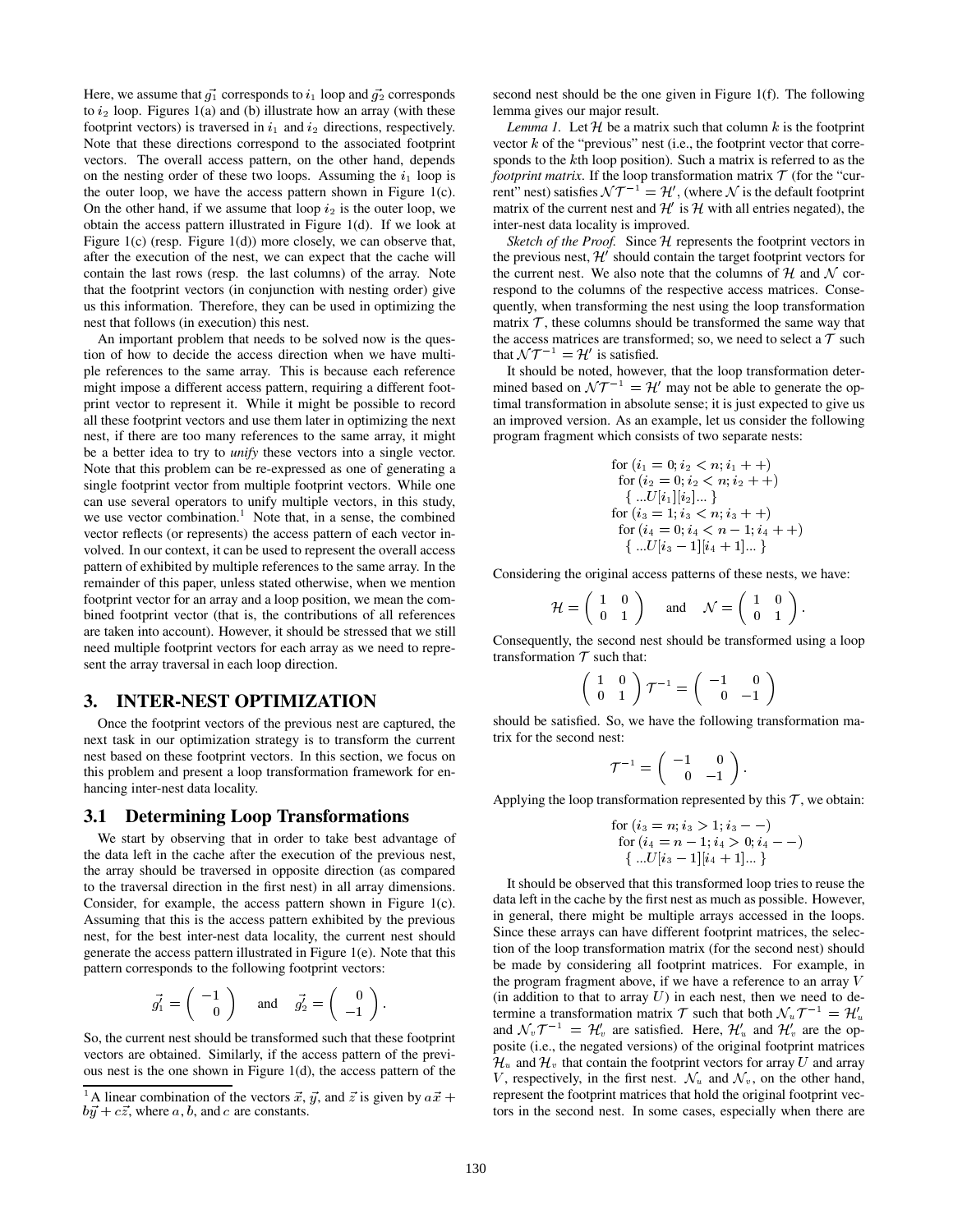Here, we assume that  $\vec{g_1}$  corresponds to  $i_1$  loop and  $\vec{g_2}$  corresponds to  $i_2$  loop. Figures 1(a) and (b) illustrate how an array (with these footprint vectors) is traversed in  $i_1$  and  $i_2$  directions, respectively. Note that these directions correspond to the associated footprint vectors. The overall access pattern, on the other hand, depends on the nesting order of these two loops. Assuming the  $i_1$  loop is the outer loop, we have the access pattern shown in Figure 1(c). On the other hand, if we assume that loop  $i_2$  is the outer loop, we obtain the access pattern illustrated in Figure 1(d). If we look at Figure 1(c) (resp. Figure 1(d)) more closely, we can observe that, after the execution of the nest, we can expect that the cache will contain the last rows (resp. the last columns) of the array. Note that the footprint vectors (in conjunction with nesting order) give us this information. Therefore, they can be used in optimizing the nest that follows (in execution) this nest.

An important problem that needs to be solved now is the question of how to decide the access direction when we have multiple references to the same array. This is because each reference might impose a different access pattern, requiring a different footprint vector to represent it. While it might be possible to record all these footprint vectors and use them later in optimizing the next nest, if there are too many references to the same array, it might be a better idea to try to *unify* these vectors into a single vector. Note that this problem can be re-expressed as one of generating a single footprint vector from multiple footprint vectors. While one can use several operators to unify multiple vectors, in this study, we use vector combination.<sup>1</sup> Note that, in a sense, the combined vector reflects (or represents) the access pattern of each vector involved. In our context, it can be used to represent the overall access pattern of exhibited by multiple references to the same array. In the remainder of this paper, unless stated otherwise, when we mention footprint vector for an array and a loop position, we mean the combined footprint vector (that is, the contributions of all references are taken into account). However, it should be stressed that we still need multiple footprint vectors for each array as we need to represent the array traversal in each loop direction.

### **3. INTER-NEST OPTIMIZATION**

Once the footprint vectors of the previous nest are captured, the next task in our optimization strategy is to transform the current nest based on these footprint vectors. In this section, we focus on this problem and present a loop transformation framework for enhancing inter-nest data locality.

#### **3.1 Determining Loop Transformations**

We start by observing that in order to take best advantage of the data left in the cache after the execution of the previous nest, the array should be traversed in opposite direction (as compared to the traversal direction in the first nest) in all array dimensions. Consider, for example, the access pattern shown in Figure 1(c). Assuming that this is the access pattern exhibited by the previous nest, for the best inter-nest data locality, the current nest should generate the access pattern illustrated in Figure 1(e). Note that this pattern corresponds to the following footprint vectors:

$$
\vec{g_1'} = \begin{pmatrix} -1 \\ 0 \end{pmatrix} \quad \text{and} \quad \vec{g_2'} = \begin{pmatrix} 0 \\ -1 \end{pmatrix}.
$$

So, the current nest should be transformed such that these footprint vectors are obtained. Similarly, if the access pattern of the previous nest is the one shown in Figure 1(d), the access pattern of the

second nest should be the one given in Figure 1(f). The following lemma gives our major result.

*Lemma 1.* Let  $H$  be a matrix such that column  $k$  is the footprint vector  $k$  of the "previous" nest (i.e., the footprint vector that corresponds to the <sup>k</sup>th loop position). Such a matrix is referred to as the *footprint matrix*. If the loop transformation matrix  $T$  (for the "curfootprint matrix. If the loop transformation matrix  $T$  (for the "current" nest) satisfies  $\mathcal{NT}^{-1} = \mathcal{H}'$ , (where  $\mathcal N$  is the default footprint matrix of the current nest and  $\mathcal{H}'$  is  $\mathcal{H}$  with all entries negated), the inter-nest data locality is improved.

*Sketch of the Proof.* Since  $H$  represents the footprint vectors in the previous nest,  $\mathcal{H}'$  should contain the target footprint vectors for the current nest. We also note that the columns of  $H$  and  $N$  correspond to the columns of the respective access matrices. Consequently, when transforming the nest using the loop transformation matrix  $T$ , these columns should be transformed the same way that the access matrices are transformed; so, we need to select a  $\mathcal{T}$  such that  $\mathcal{NT}^{-1} = \mathcal{H}'$  is satisfied. that  $\mathcal{NT}^{-1} = \mathcal{H}'$  is satisfied.

It should be noted, however, that the loop transformation deter-It should be noted, however, that the loop transformation deter-<br>mined based on  $\mathcal{NT}^{-1} = \mathcal{H}'$  may not be able to generate the optimal transformation in absolute sense; it is just expected to give us an improved version. As an example, let us consider the following program fragment which consists of two separate nests:

for 
$$
(i_1 = 0; i_2 < n; i_1 + +)
$$
  
\nfor  $(i_2 = 0; i_2 < n; i_2 + +)$   
\n $\{ ...U[i_1][i_2]... \}$   
\nfor  $(i_3 = 1; i_3 < n; i_3 + +)$   
\nfor  $(i_4 = 0; i_4 < n - 1; i_4 + +)$   
\n $\{ ...U[i_3 - 1][i_4 + 1]... \}$ 

Considering the original access patterns of these nests, we have:

$$
\mathcal{H} = \left( \begin{array}{cc} 1 & 0 \\ 0 & 1 \end{array} \right) \quad \text{and} \quad \mathcal{N} = \left( \begin{array}{cc} 1 & 0 \\ 0 & 1 \end{array} \right).
$$

Consequently, the second nest should be transformed using a loop transformation  $T$  such that:

> $\left(1\ 0\right)_{\sigma=1}$  $\begin{pmatrix} 1 & 0 \ 0 & 1 \end{pmatrix} \mathcal{T}^{-1} = \left( \begin{array}{cc} -1 & 0 \ 0 & -1 \end{array} \right)$  $\left( \begin{array}{cc} -1 & 0 \end{array} \right)$  $\begin{pmatrix} 1 & 0 \\ 0 & -1 \end{pmatrix}$

should be satisfied. So, we have the following transformation matrix for the second nest:

$$
\mathcal{T}^{-1}=\left(\begin{array}{cc}-1&0\\0&-1\end{array}\right).
$$

Applying the loop transformation represented by this  $\mathcal{T}$ , we obtain:<br>for  $(i_3 = n; i_3 > 1; i_3 - -)$ 

for 
$$
(i_3 = n; i_3 > 1; i_3 - -)
$$
  
for  $(i_4 = n - 1; i_4 > 0; i_4 - -)$   
 $\{ ...U[i_3 - 1][i_4 + 1] ... \}$ 

It should be observed that this transformed loop tries to reuse the data left in the cache by the first nest as much as possible. However, in general, there might be multiple arrays accessed in the loops. Since these arrays can have different footprint matrices, the selection of the loop transformation matrix (for the second nest) should be made by considering all footprint matrices. For example, in the program fragment above, if we have a reference to an array <sup>V</sup> (in addition to that to array  $U$ ) in each nest, then we need to determine a transformation matrix T such that both  $\mathcal{N}_u \mathcal{T}^{-1} = \mathcal{H}'_u$ and  $\mathcal{N}_v \mathcal{T}^{-1} = \mathcal{H}'_v$  are satisfied. Here,  $\mathcal{H}'_u$  and  $\mathcal{H}'_v$  are the opposite (i.e., the negated versions) of the original footprint matrices  $\mathcal{H}_u$  and  $\mathcal{H}_v$  that contain the footprint vectors for array U and array V, respectively, in the first nest.  $\mathcal{N}_u$  and  $\mathcal{N}_v$ , on the other hand, represent the footprint matrices that hold the original footprint vectors in the second nest. In some cases, especially when there are

<sup>&</sup>lt;sup>1</sup>A linear combination of the vectors  $\vec{x}$ ,  $\vec{y}$ , and  $\vec{z}$  is given by  $a\vec{x}$  + represer  $b\vec{y} + c\vec{z}$ , where a, b, and c are constants.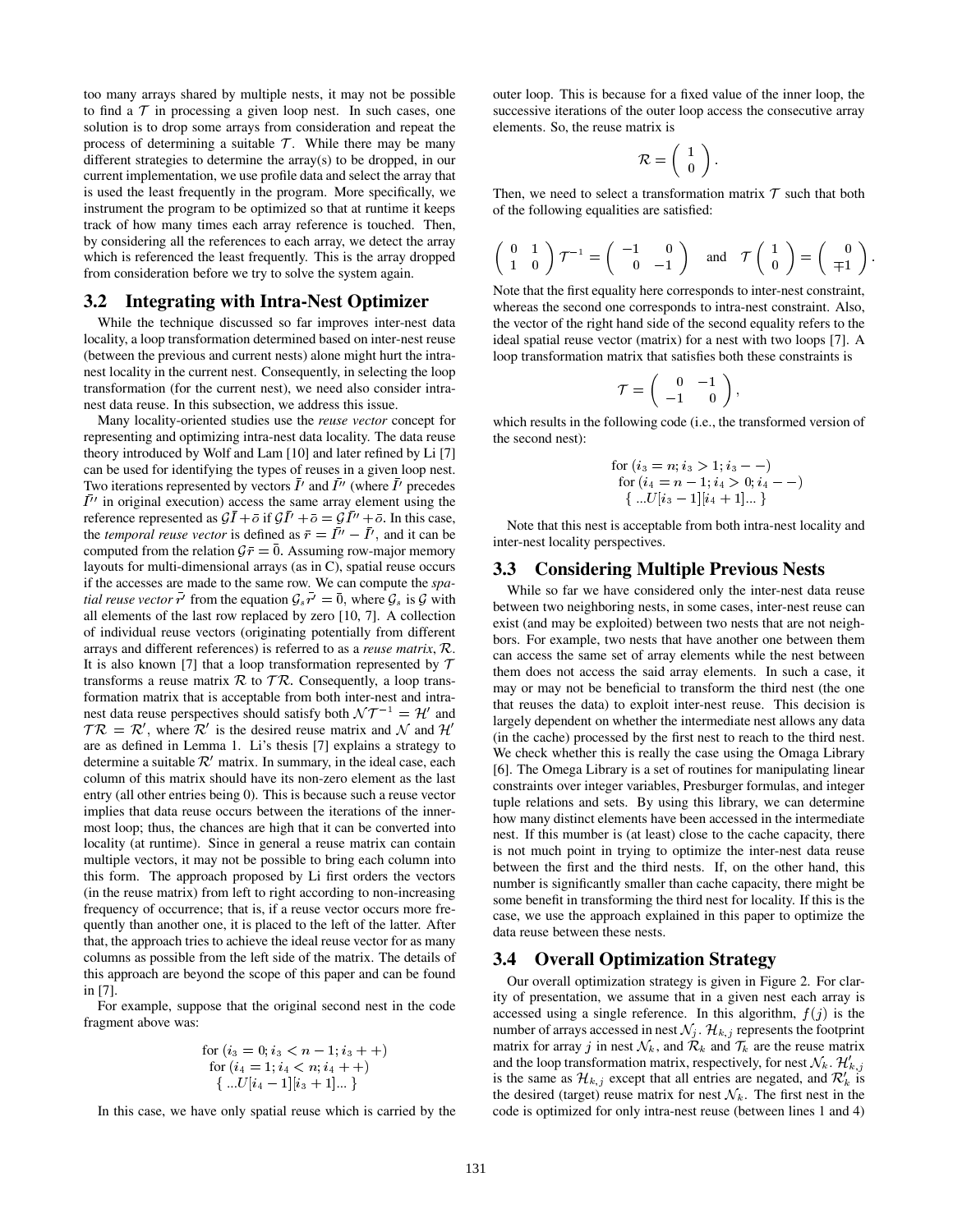too many arrays shared by multiple nests, it may not be possible to find a  $\mathcal T$  in processing a given loop nest. In such cases, one solution is to drop some arrays from consideration and repeat the process of determining a suitable  $\mathcal{T}$ . While there may be many different strategies to determine the array(s) to be dropped, in our current implementation, we use profile data and select the array that is used the least frequently in the program. More specifically, we instrument the program to be optimized so that at runtime it keeps track of how many times each array reference is touched. Then, by considering all the references to each array, we detect the array which is referenced the least frequently. This is the array dropped from consideration before we try to solve the system again.

#### **3.2 Integrating with Intra-Nest Optimizer**

While the technique discussed so far improves inter-nest data locality, a loop transformation determined based on inter-nest reuse (between the previous and current nests) alone might hurt the intranest locality in the current nest. Consequently, in selecting the loop transformation (for the current nest), we need also consider intranest data reuse. In this subsection, we address this issue.

Many locality-oriented studies use the *reuse vector* concept for representing and optimizing intra-nest data locality. The data reuse theory introduced by Wolf and Lam [10] and later refined by Li [7] can be used for identifying the types of reuses in a given loop nest. Two iterations represented by vectors  $I'$  and  $I''$  (where  $I'$  precedes  $I^{\prime\prime}$  in original execution) access the same array element using the reference represented as  $\mathcal{G}\bar{I} + \bar{\sigma}$  if  $\mathcal{G}\bar{I'} + \bar{\sigma} = \mathcal{G}\bar{I''} + \bar{\sigma}$ . In this case, the *temporal reuse vector* is defined as  $\bar{r} = I'' - I'$ , and it can be computed from the relation  $\mathcal{G}\bar{r} = \bar{0}$ . Assuming row-major memory layouts for multi-dimensional arrays (as in C), spatial reuse occurs if the accesses are made to the same row. We can compute the *spatial reuse vector* r' from the equation  $\mathcal{G}_{s}r' = \overline{0}$ , where  $\mathcal{G}_{s}$  is  $\mathcal{G}$  with all elements of the last row replaced by zero [10, 7]. A collection of individual reuse vectors (originating potentially from different arrays and different references) is referred to as a *reuse matrix*, <sup>R</sup>. It is also known [7] that a loop transformation represented by  $T$  the transforms a reuse matrix  $R$  to  $TR$ . Consequently, a loop transformation matrix that is acceptable from both inter-nest and intraformation matrix that is acceptable from both inter-nest and intra-<br>nest data reuse perspectives should satisfy both  $\mathcal{N} \mathcal{T}^{-1} = \mathcal{H}'$  and<br> $\mathcal{T} \mathcal{D} = \mathcal{D}'$  where  $\mathcal{D}'$  is the desired reuse matrix and  $\mathcal{N}$  $\mathcal{R}$ , where  $\mathcal{R}'$  is the desired reuse matrix and N and H' are as defined in Lemma 1. Li's thesis [7] explains a strategy to determine a suitable  $\mathcal{R}'$  matrix. In summary, in the ideal case, each column of this matrix should have its non-zero element as the last entry (all other entries being 0). This is because such a reuse vector implies that data reuse occurs between the iterations of the innermost loop; thus, the chances are high that it can be converted into locality (at runtime). Since in general a reuse matrix can contain multiple vectors, it may not be possible to bring each column into this form. The approach proposed by Li first orders the vectors (in the reuse matrix) from left to right according to non-increasing frequency of occurrence; that is, if a reuse vector occurs more frequently than another one, it is placed to the left of the latter. After that, the approach tries to achieve the ideal reuse vector for as many columns as possible from the left side of the matrix. The details of this approach are beyond the scope of this paper and can be found in [7].

For example, suppose that the original second nest in the code fragment above was:

for 
$$
(i_3 = 0; i_3 < n - 1; i_3 + +)
$$
  
for  $(i_4 = 1; i_4 < n; i_4 + +)$   
 $\{ ...U[i_4 - 1][i_3 + 1]... \}$ 

In this case, we have only spatial reuse which is carried by the

outer loop. This is because for a fixed value of the inner loop, the successive iterations of the outer loop access the consecutive array elements. So, the reuse matrix is

$$
\mathcal{R}=\left(\begin{array}{c}1\\0\end{array}\right).
$$

Then, we need to select a transformation matrix  $\tau$  such that both of the following equalities are satisfied:

$$
\left(\begin{array}{cc} 0 & 1 \\ 1 & 0 \end{array}\right) \mathcal{T}^{-1} = \left(\begin{array}{cc} -1 & 0 \\ 0 & -1 \end{array}\right) \quad \text{and} \quad \mathcal{T} \left(\begin{array}{c} 1 \\ 0 \end{array}\right) = \left(\begin{array}{c} 0 \\ \mp 1 \end{array}\right).
$$

Note that the first equality here corresponds to inter-nest constraint, whereas the second one corresponds to intra-nest constraint. Also, the vector of the right hand side of the second equality refers to the ideal spatial reuse vector (matrix) for a nest with two loops [7]. A loop transformation matrix that satisfies both these constraints is

$$
\mathcal{T}=\left(\begin{array}{cc}0 & -1\\-1 & 0\end{array}\right),
$$

which results in the following code (i.e., the transformed version of the second nest):

for 
$$
(i_3 = n; i_3 > 1; i_3 - -)
$$
  
for  $(i_4 = n - 1; i_4 > 0; i_4 - -)$   
 $\{ ...U[i_3 - 1][i_4 + 1] ... \}$ 

Note that this nest is acceptable from both intra-nest locality and inter-nest locality perspectives.

#### **3.3 Considering Multiple Previous Nests**

While so far we have considered only the inter-nest data reuse between two neighboring nests, in some cases, inter-nest reuse can exist (and may be exploited) between two nests that are not neighbors. For example, two nests that have another one between them can access the same set of array elements while the nest between them does not access the said array elements. In such a case, it may or may not be beneficial to transform the third nest (the one that reuses the data) to exploit inter-nest reuse. This decision is largely dependent on whether the intermediate nest allows any data (in the cache) processed by the first nest to reach to the third nest. We check whether this is really the case using the Omaga Library [6]. The Omega Library is a set of routines for manipulating linear constraints over integer variables, Presburger formulas, and integer tuple relations and sets. By using this library, we can determine how many distinct elements have been accessed in the intermediate nest. If this mumber is (at least) close to the cache capacity, there is not much point in trying to optimize the inter-nest data reuse between the first and the third nests. If, on the other hand, this number is significantly smaller than cache capacity, there might be some benefit in transforming the third nest for locality. If this is the case, we use the approach explained in this paper to optimize the data reuse between these nests.

#### **3.4 Overall Optimization Strategy**

Our overall optimization strategy is given in Figure 2. For clarity of presentation, we assume that in a given nest each array is accessed using a single reference. In this algorithm,  $f(j)$  is the number of arrays accessed in nest  $\mathcal{N}_i$ .  $\mathcal{H}_{k,i}$  represents the footprint matrix for array j in nest  $\mathcal{N}_k$ , and  $\mathcal{R}_k$  and  $\mathcal{T}_k$  are the reuse matrix and the loop transformation matrix, respectively, for nest  $\mathcal{N}_k$ .  $\mathcal{H}'_{k,i}$ is the same as  $\mathcal{H}_{k,j}$  except that all entries are negated, and  $\mathcal{R}'_k$  is the desired (target) reuse matrix for nest  $\mathcal{N}_k$ . The first nest in the code is optimized for only intra-nest reuse (between lines 1 and 4)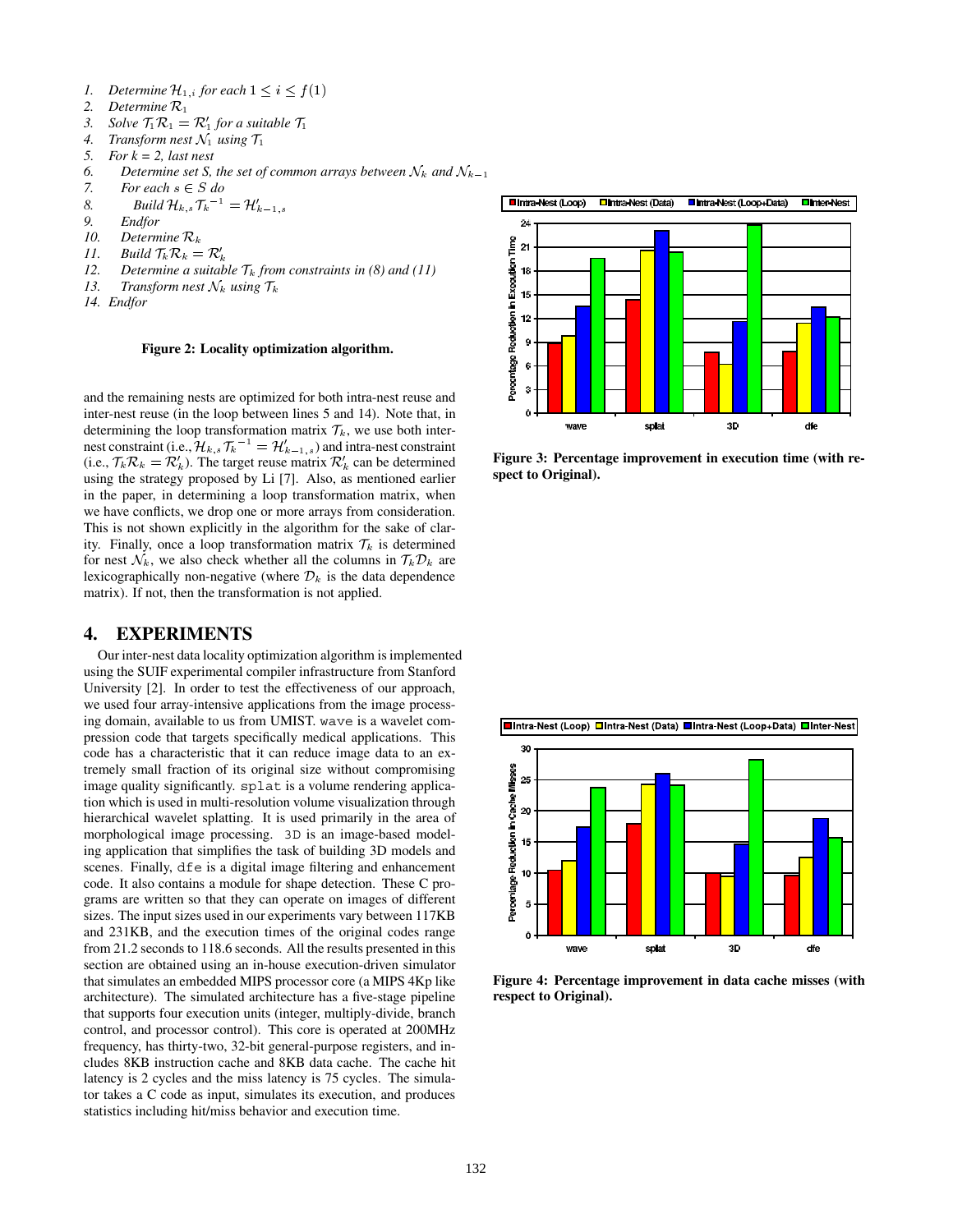- *1.* Determine  $\mathcal{H}_{1,i}$  for each  $1 \leq i \leq f(1)$
- *2. Determine* R
- *3. Solve*  $\mathcal{T}_1 \mathcal{R}_1 = \mathcal{R}_1'$  *for a suitable*  $\mathcal{T}_1$
- *4.* Transform nest  $\mathcal{N}_1$  using  $\mathcal{T}_1$
- *5. For k = 2, last nest*
- 6. Determine set *S*, the set of common arrays between  $N_k$  and  $N_{k-1}$
- *7.* For each  $s \in S$  do
- *8. Build*  $\mathcal{H}_{k,s}\mathcal{T}_{k}^{-1} = \mathcal{H}'_{k-1,s}$
- *9. Endfor*
- 10. Determine  $\mathcal{R}_k$
- *11. Build*  $\mathcal{T}_k \mathcal{R}_k = \mathcal{R}'_k$
- 12. Determine a suitable  $\mathcal{T}_k$  *from constraints in (8) and (11)*
- 13. Transform nest  $\mathcal{N}_k$  using  $\mathcal{T}_k$
- *14. Endfor*

#### **Figure 2: Locality optimization algorithm.**

and the remaining nests are optimized for both intra-nest reuse and inter-nest reuse (in the loop between lines 5 and 14). Note that, in determining the loop transformation matrix  $\mathcal{T}_k$ , we use both internest constraint (i.e.,  $\mathcal{H}_{k,s}\mathcal{T}_{k}^{-1} = \mathcal{H}'_{k-1,s}$ ) and intra-nest constraint (i.e.,  $\mathcal{T}_k \mathcal{R}_k = \mathcal{R}'_k$ ). The target reuse matrix  $\mathcal{R}'_k$  can be determined using the strategy proposed by Li [7]. Also, as mentioned earlier in the paper, in determining a loop transformation matrix, when we have conflicts, we drop one or more arrays from consideration. This is not shown explicitly in the algorithm for the sake of clarity. Finally, once a loop transformation matrix  $\mathcal{T}_k$  is determined for nest  $\mathcal{N}_k$ , we also check whether all the columns in  $\mathcal{T}_k \mathcal{D}_k$  are lexicographically non-negative (where  $\mathcal{D}_k$  is the data dependence matrix). If not, then the transformation is not applied.

## **4. EXPERIMENTS**

Our inter-nest data locality optimization algorithm is implemented using the SUIF experimental compiler infrastructure from Stanford University [2]. In order to test the effectiveness of our approach, we used four array-intensive applications from the image processing domain, available to us from UMIST. wave is a wavelet compression code that targets specifically medical applications. This code has a characteristic that it can reduce image data to an extremely small fraction of its original size without compromising image quality significantly. splat is a volume rendering application which is used in multi-resolution volume visualization through hierarchical wavelet splatting. It is used primarily in the area of morphological image processing. 3D is an image-based modeling application that simplifies the task of building 3D models and scenes. Finally, dfe is a digital image filtering and enhancement code. It also contains a module for shape detection. These C programs are written so that they can operate on images of different sizes. The input sizes used in our experiments vary between 117KB and 231KB, and the execution times of the original codes range from 21.2 seconds to 118.6 seconds. All the results presented in this section are obtained using an in-house execution-driven simulator that simulates an embedded MIPS processor core (a MIPS 4Kp like architecture). The simulated architecture has a five-stage pipeline that supports four execution units (integer, multiply-divide, branch control, and processor control). This core is operated at 200MHz frequency, has thirty-two, 32-bit general-purpose registers, and includes 8KB instruction cache and 8KB data cache. The cache hit latency is 2 cycles and the miss latency is 75 cycles. The simulator takes a C code as input, simulates its execution, and produces statistics including hit/miss behavior and execution time.



**Figure 3: Percentage improvement in execution time (with respect to Original).**



**Figure 4: Percentage improvement in data cache misses (with respect to Original).**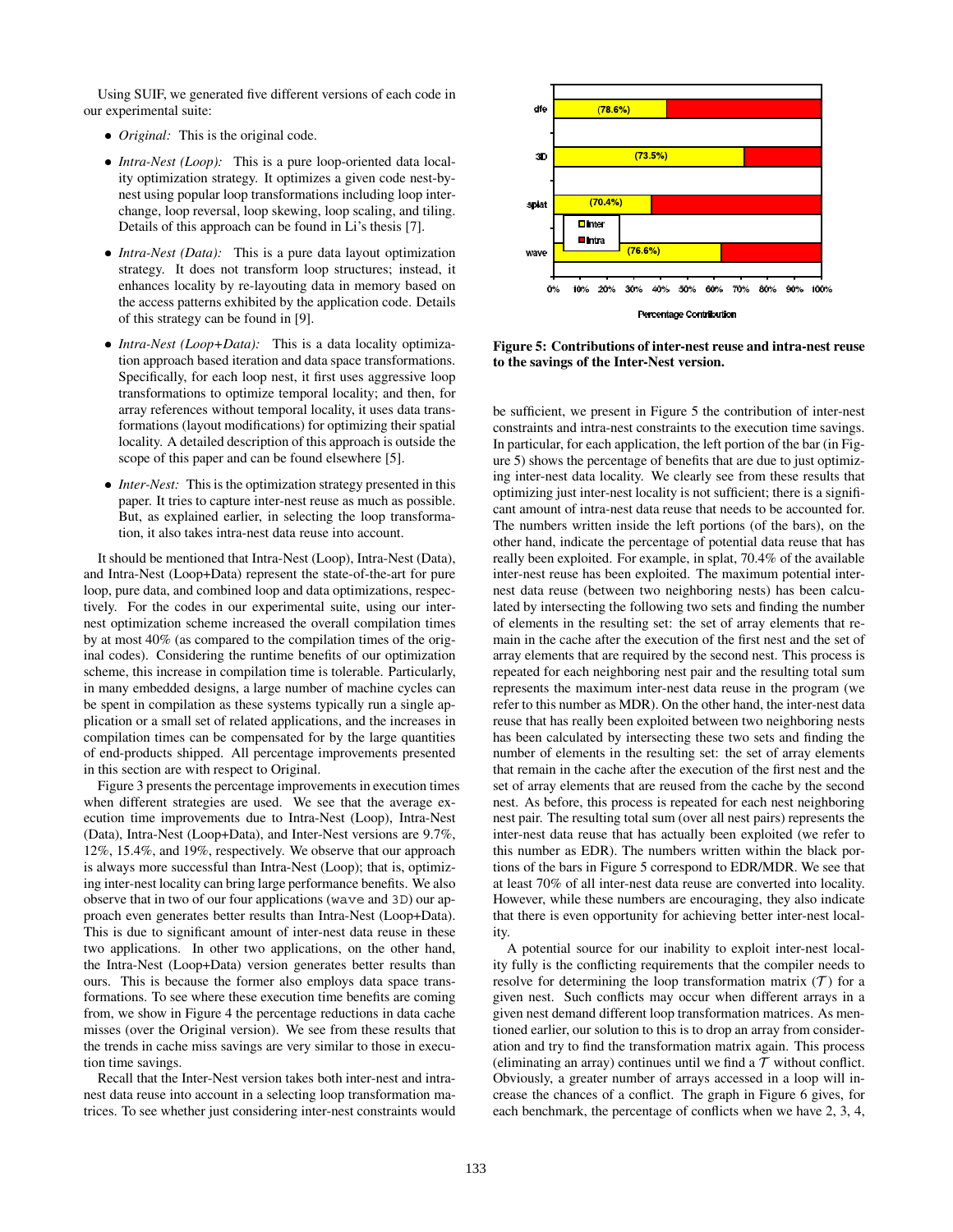Using SUIF, we generated five different versions of each code in our experimental suite:

- *Original:* This is the original code.
- *Intra-Nest (Loop):* This is a pure loop-oriented data locality optimization strategy. It optimizes a given code nest-bynest using popular loop transformations including loop interchange, loop reversal, loop skewing, loop scaling, and tiling. Details of this approach can be found in Li's thesis [7].
- *Intra-Nest (Data):* This is a pure data layout optimization strategy. It does not transform loop structures; instead, it enhances locality by re-layouting data in memory based on the access patterns exhibited by the application code. Details of this strategy can be found in [9].
- *Intra-Nest (Loop+Data):* This is a data locality optimization approach based iteration and data space transformations. Specifically, for each loop nest, it first uses aggressive loop transformations to optimize temporal locality; and then, for array references without temporal locality, it uses data transformations (layout modifications) for optimizing their spatial locality. A detailed description of this approach is outside the scope of this paper and can be found elsewhere [5].
- *Inter-Nest:* This is the optimization strategy presented in this paper. It tries to capture inter-nest reuse as much as possible. But, as explained earlier, in selecting the loop transformation, it also takes intra-nest data reuse into account.

It should be mentioned that Intra-Nest (Loop), Intra-Nest (Data), and Intra-Nest (Loop+Data) represent the state-of-the-art for pure loop, pure data, and combined loop and data optimizations, respectively. For the codes in our experimental suite, using our internest optimization scheme increased the overall compilation times by at most 40% (as compared to the compilation times of the original codes). Considering the runtime benefits of our optimization scheme, this increase in compilation time is tolerable. Particularly, in many embedded designs, a large number of machine cycles can be spent in compilation as these systems typically run a single application or a small set of related applications, and the increases in compilation times can be compensated for by the large quantities of end-products shipped. All percentage improvements presented in this section are with respect to Original.

Figure 3 presents the percentage improvements in execution times when different strategies are used. We see that the average execution time improvements due to Intra-Nest (Loop), Intra-Nest (Data), Intra-Nest (Loop+Data), and Inter-Nest versions are 9.7%, 12%, 15.4%, and 19%, respectively. We observe that our approach is always more successful than Intra-Nest (Loop); that is, optimizing inter-nest locality can bring large performance benefits. We also observe that in two of our four applications (wave and 3D) our approach even generates better results than Intra-Nest (Loop+Data). This is due to significant amount of inter-nest data reuse in these two applications. In other two applications, on the other hand, the Intra-Nest (Loop+Data) version generates better results than ours. This is because the former also employs data space transformations. To see where these execution time benefits are coming from, we show in Figure 4 the percentage reductions in data cache misses (over the Original version). We see from these results that the trends in cache miss savings are very similar to those in execution time savings.

Recall that the Inter-Nest version takes both inter-nest and intranest data reuse into account in a selecting loop transformation matrices. To see whether just considering inter-nest constraints would



**Figure 5: Contributions of inter-nest reuse and intra-nest reuse to the savings of the Inter-Nest version.**

be sufficient, we present in Figure 5 the contribution of inter-nest constraints and intra-nest constraints to the execution time savings. In particular, for each application, the left portion of the bar (in Figure 5) shows the percentage of benefits that are due to just optimizing inter-nest data locality. We clearly see from these results that optimizing just inter-nest locality is not sufficient; there is a significant amount of intra-nest data reuse that needs to be accounted for. The numbers written inside the left portions (of the bars), on the other hand, indicate the percentage of potential data reuse that has really been exploited. For example, in splat, 70.4% of the available inter-nest reuse has been exploited. The maximum potential internest data reuse (between two neighboring nests) has been calculated by intersecting the following two sets and finding the number of elements in the resulting set: the set of array elements that remain in the cache after the execution of the first nest and the set of array elements that are required by the second nest. This process is repeated for each neighboring nest pair and the resulting total sum represents the maximum inter-nest data reuse in the program (we refer to this number as MDR). On the other hand, the inter-nest data reuse that has really been exploited between two neighboring nests has been calculated by intersecting these two sets and finding the number of elements in the resulting set: the set of array elements that remain in the cache after the execution of the first nest and the set of array elements that are reused from the cache by the second nest. As before, this process is repeated for each nest neighboring nest pair. The resulting total sum (over all nest pairs) represents the inter-nest data reuse that has actually been exploited (we refer to this number as EDR). The numbers written within the black portions of the bars in Figure 5 correspond to EDR/MDR. We see that at least 70% of all inter-nest data reuse are converted into locality. However, while these numbers are encouraging, they also indicate that there is even opportunity for achieving better inter-nest locality.

A potential source for our inability to exploit inter-nest locality fully is the conflicting requirements that the compiler needs to resolve for determining the loop transformation matrix  $(\mathcal{T})$  for a given nest. Such conflicts may occur when different arrays in a given nest demand different loop transformation matrices. As mentioned earlier, our solution to this is to drop an array from consideration and try to find the transformation matrix again. This process (eliminating an array) continues until we find a  $\mathcal T$  without conflict. Obviously, a greater number of arrays accessed in a loop will increase the chances of a conflict. The graph in Figure 6 gives, for each benchmark, the percentage of conflicts when we have 2, 3, 4,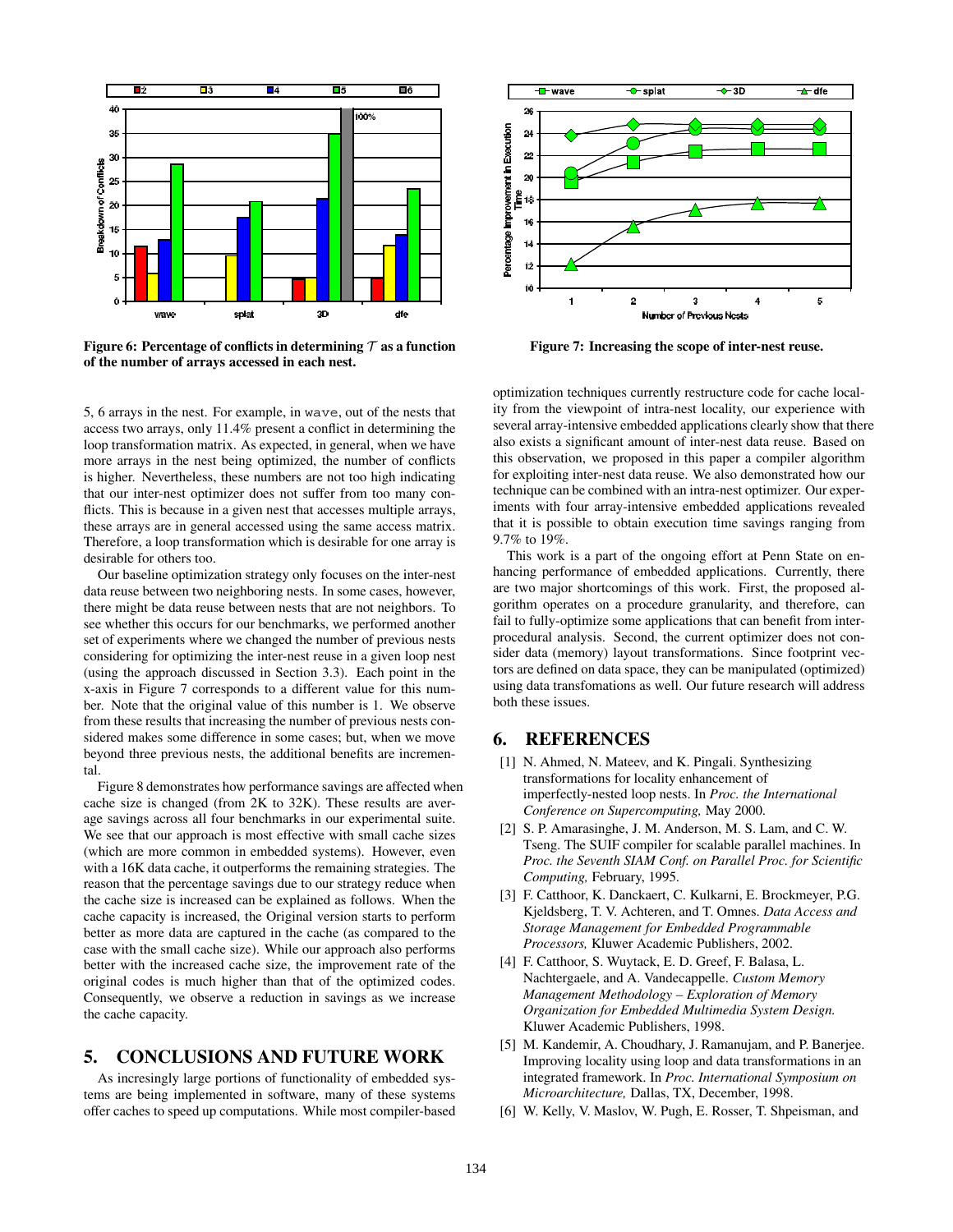

Figure 6: Percentage of conflicts in determining  $T$  as a function **of the number of arrays accessed in each nest.**

5, 6 arrays in the nest. For example, in wave, out of the nests that access two arrays, only 11.4% present a conflict in determining the loop transformation matrix. As expected, in general, when we have more arrays in the nest being optimized, the number of conflicts is higher. Nevertheless, these numbers are not too high indicating that our inter-nest optimizer does not suffer from too many conflicts. This is because in a given nest that accesses multiple arrays, these arrays are in general accessed using the same access matrix. Therefore, a loop transformation which is desirable for one array is desirable for others too.

Our baseline optimization strategy only focuses on the inter-nest data reuse between two neighboring nests. In some cases, however, there might be data reuse between nests that are not neighbors. To see whether this occurs for our benchmarks, we performed another set of experiments where we changed the number of previous nests considering for optimizing the inter-nest reuse in a given loop nest (using the approach discussed in Section 3.3). Each point in the x-axis in Figure 7 corresponds to a different value for this number. Note that the original value of this number is 1. We observe from these results that increasing the number of previous nests considered makes some difference in some cases; but, when we move beyond three previous nests, the additional benefits are incremental.

Figure 8 demonstrates how performance savings are affected when cache size is changed (from 2K to 32K). These results are average savings across all four benchmarks in our experimental suite. We see that our approach is most effective with small cache sizes (which are more common in embedded systems). However, even with a 16K data cache, it outperforms the remaining strategies. The reason that the percentage savings due to our strategy reduce when the cache size is increased can be explained as follows. When the cache capacity is increased, the Original version starts to perform better as more data are captured in the cache (as compared to the case with the small cache size). While our approach also performs better with the increased cache size, the improvement rate of the original codes is much higher than that of the optimized codes. Consequently, we observe a reduction in savings as we increase the cache capacity.

# **5. CONCLUSIONS AND FUTURE WORK**

As incresingly large portions of functionality of embedded systems are being implemented in software, many of these systems offer caches to speed up computations. While most compiler-based



**Figure 7: Increasing the scope of inter-nest reuse.**

optimization techniques currently restructure code for cache locality from the viewpoint of intra-nest locality, our experience with several array-intensive embedded applications clearly show that there also exists a significant amount of inter-nest data reuse. Based on this observation, we proposed in this paper a compiler algorithm for exploiting inter-nest data reuse. We also demonstrated how our technique can be combined with an intra-nest optimizer. Our experiments with four array-intensive embedded applications revealed that it is possible to obtain execution time savings ranging from 9.7% to 19%.

This work is a part of the ongoing effort at Penn State on enhancing performance of embedded applications. Currently, there are two major shortcomings of this work. First, the proposed algorithm operates on a procedure granularity, and therefore, can fail to fully-optimize some applications that can benefit from interprocedural analysis. Second, the current optimizer does not consider data (memory) layout transformations. Since footprint vectors are defined on data space, they can be manipulated (optimized) using data transfomations as well. Our future research will address both these issues.

### **6. REFERENCES**

- [1] N. Ahmed, N. Mateev, and K. Pingali. Synthesizing transformations for locality enhancement of imperfectly-nested loop nests. In *Proc. the International Conference on Supercomputing,* May 2000.
- [2] S. P. Amarasinghe, J. M. Anderson, M. S. Lam, and C. W. Tseng. The SUIF compiler for scalable parallel machines. In *Proc. the Seventh SIAM Conf. on Parallel Proc. for Scientific Computing,* February, 1995.
- [3] F. Catthoor, K. Danckaert, C. Kulkarni, E. Brockmeyer, P.G. Kjeldsberg, T. V. Achteren, and T. Omnes. *Data Access and Storage Management for Embedded Programmable Processors,* Kluwer Academic Publishers, 2002.
- [4] F. Catthoor, S. Wuytack, E. D. Greef, F. Balasa, L. Nachtergaele, and A. Vandecappelle. *Custom Memory Management Methodology – Exploration of Memory Organization for Embedded Multimedia System Design.* Kluwer Academic Publishers, 1998.
- [5] M. Kandemir, A. Choudhary, J. Ramanujam, and P. Banerjee. Improving locality using loop and data transformations in an integrated framework. In *Proc. International Symposium on Microarchitecture,* Dallas, TX, December, 1998.
- [6] W. Kelly, V. Maslov, W. Pugh, E. Rosser, T. Shpeisman, and